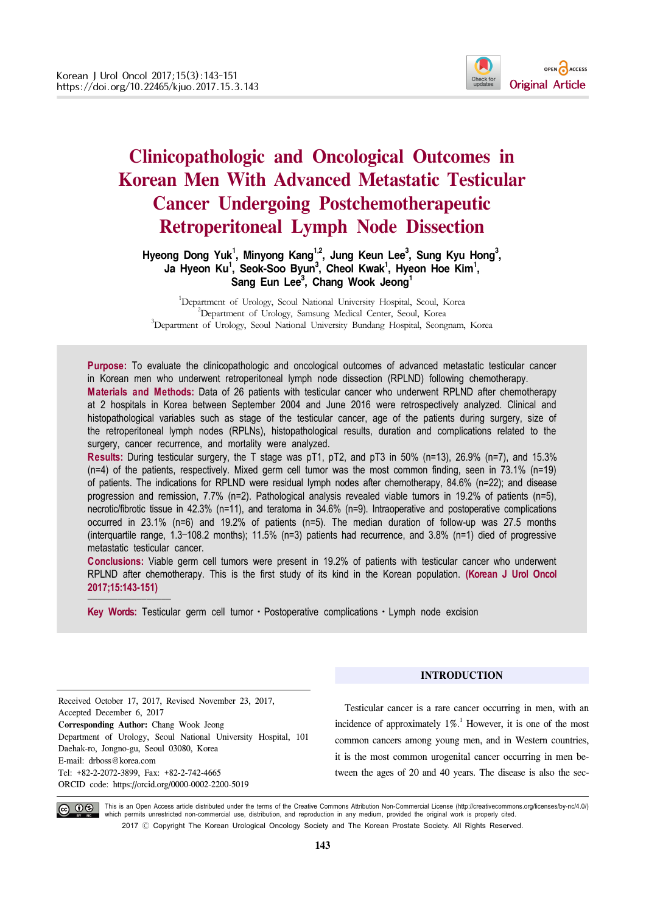

# **Clinicopathologic and Oncological Outcomes in Korean Men With Advanced Metastatic Testicular Cancer Undergoing Postchemotherapeutic Retroperitoneal Lymph Node Dissection**

## Hyeong Dong Yuk<sup>1</sup>, Minyong Kang<sup>1,2</sup>, Jung Keun Lee<sup>3</sup>, Sung Kyu Hong<sup>3</sup>, Ja Hyeon Ku<sup>1</sup>, Seok-Soo Byun<sup>3</sup>, Cheol Kwak<sup>1</sup>, Hyeon Hoe Kim<sup>1</sup>, Sang Eun Lee<sup>3</sup>, Chang Wook Jeong<sup>1</sup>

<sup>1</sup>Department of Urology, Seoul National University Hospital, Seoul, Korea <sup>2</sup> Department of Urology, Seoul, Maria Contra Search Korea <sup>2</sup>Department of Urology, Samsung Medical Center, Seoul, Korea <sup>3</sup>Department of Urology, Seoul National University Bundang Hospital, Seongnam, Korea

**Purpose:** To evaluate the clinicopathologic and oncological outcomes of advanced metastatic testicular cancer in Korean men who underwent retroperitoneal lymph node dissection (RPLND) following chemotherapy. **Materials and Methods:** Data of 26 patients with testicular cancer who underwent RPLND after chemotherapy at 2 hospitals in Korea between September 2004 and June 2016 were retrospectively analyzed. Clinical and histopathological variables such as stage of the testicular cancer, age of the patients during surgery, size of the retroperitoneal lymph nodes (RPLNs), histopathological results, duration and complications related to the surgery, cancer recurrence, and mortality were analyzed.

**Results:** During testicular surgery, the T stage was pT1, pT2, and pT3 in 50% (n=13), 26.9% (n=7), and 15.3% (n=4) of the patients, respectively. Mixed germ cell tumor was the most common finding, seen in 73.1% (n=19) of patients. The indications for RPLND were residual lymph nodes after chemotherapy, 84.6% (n=22); and disease progression and remission, 7.7% (n=2). Pathological analysis revealed viable tumors in 19.2% of patients (n=5), necrotic/fibrotic tissue in 42.3% (n=11), and teratoma in 34.6% (n=9). Intraoperative and postoperative complications occurred in 23.1% (n=6) and 19.2% of patients (n=5). The median duration of follow-up was 27.5 months (interquartile range, 1.3–108.2 months); 11.5% (n=3) patients had recurrence, and 3.8% (n=1) died of progressive metastatic testicular cancer.

**Conclusions:** Viable germ cell tumors were present in 19.2% of patients with testicular cancer who underwent RPLND after chemotherapy. This is the first study of its kind in the Korean population. **(Korean J Urol Oncol 2017;15:143-151)**

**Key Words:** Testicular germ cell tumor · Postoperative complications · Lymph node excision

Received October 17, 2017, Revised November 23, 2017, Accepted December 6, 2017 **Corresponding Author:** Chang Wook Jeong Department of Urology, Seoul National University Hospital, 101 Daehak-ro, Jongno-gu, Seoul 03080, Korea E-mail: drboss@korea.com Tel: +82-2-2072-3899, Fax: +82-2-742-4665 ORCID code: https://orcid.org/0000-0002-2200-5019

## **INTRODUCTION**

Testicular cancer is a rare cancer occurring in men, with an incidence of approximately  $1\%$ .<sup>1</sup> However, it is one of the most common cancers among young men, and in Western countries, it is the most common urogenital cancer occurring in men between the ages of 20 and 40 years. The disease is also the sec-



This is an Open Access article distributed under the terms of the Creative Commons Attribution Non-Commercial License (http://creativecommons.org/licenses/by-nc/4.0/) which permits unrestricted non-commercial use, distribution, and reproduction in any medium, provided the original work is properly cited. 2017 Ⓒ Copyright The Korean Urological Oncology Society and The Korean Prostate Society. All Rights Reserved.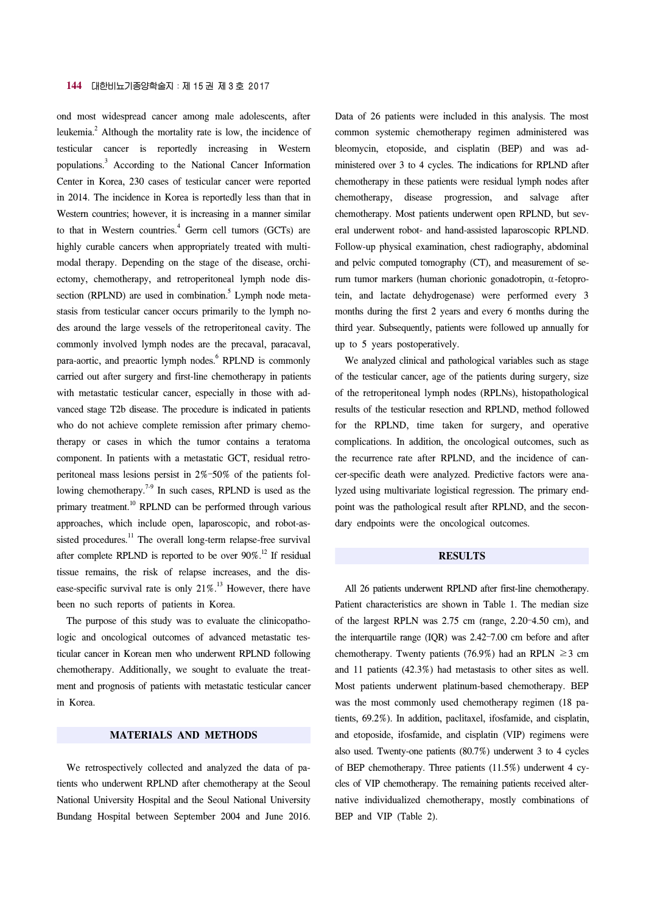#### **144** 대한비뇨기종양학술지:제 15 권 제 3 호 2017

ond most widespread cancer among male adolescents, after leukemia.<sup>2</sup> Although the mortality rate is low, the incidence of testicular cancer is reportedly increasing in Western populations.<sup>3</sup> According to the National Cancer Information Center in Korea, 230 cases of testicular cancer were reported in 2014. The incidence in Korea is reportedly less than that in Western countries; however, it is increasing in a manner similar to that in Western countries.<sup>4</sup> Germ cell tumors (GCTs) are highly curable cancers when appropriately treated with multimodal therapy. Depending on the stage of the disease, orchiectomy, chemotherapy, and retroperitoneal lymph node dissection (RPLND) are used in combination.<sup>5</sup> Lymph node metastasis from testicular cancer occurs primarily to the lymph nodes around the large vessels of the retroperitoneal cavity. The commonly involved lymph nodes are the precaval, paracaval, para-aortic, and preaortic lymph nodes.<sup>6</sup> RPLND is commonly carried out after surgery and first-line chemotherapy in patients with metastatic testicular cancer, especially in those with advanced stage T2b disease. The procedure is indicated in patients who do not achieve complete remission after primary chemotherapy or cases in which the tumor contains a teratoma component. In patients with a metastatic GCT, residual retroperitoneal mass lesions persist in 2%–50% of the patients following chemotherapy.<sup>7-9</sup> In such cases, RPLND is used as the primary treatment.<sup>10</sup> RPLND can be performed through various approaches, which include open, laparoscopic, and robot-assisted procedures.<sup>11</sup> The overall long-term relapse-free survival after complete RPLND is reported to be over 90%.<sup>12</sup> If residual tissue remains, the risk of relapse increases, and the disease-specific survival rate is only  $21\%$ .<sup>13</sup> However, there have been no such reports of patients in Korea.

The purpose of this study was to evaluate the clinicopathologic and oncological outcomes of advanced metastatic testicular cancer in Korean men who underwent RPLND following chemotherapy. Additionally, we sought to evaluate the treatment and prognosis of patients with metastatic testicular cancer in Korea.

## **MATERIALS AND METHODS**

We retrospectively collected and analyzed the data of patients who underwent RPLND after chemotherapy at the Seoul National University Hospital and the Seoul National University Bundang Hospital between September 2004 and June 2016. Data of 26 patients were included in this analysis. The most common systemic chemotherapy regimen administered was bleomycin, etoposide, and cisplatin (BEP) and was administered over 3 to 4 cycles. The indications for RPLND after chemotherapy in these patients were residual lymph nodes after chemotherapy, disease progression, and salvage after chemotherapy. Most patients underwent open RPLND, but several underwent robot- and hand-assisted laparoscopic RPLND. Follow-up physical examination, chest radiography, abdominal and pelvic computed tomography (CT), and measurement of serum tumor markers (human chorionic gonadotropin,  $\alpha$ -fetoprotein, and lactate dehydrogenase) were performed every 3 months during the first 2 years and every 6 months during the third year. Subsequently, patients were followed up annually for up to 5 years postoperatively.

We analyzed clinical and pathological variables such as stage of the testicular cancer, age of the patients during surgery, size of the retroperitoneal lymph nodes (RPLNs), histopathological results of the testicular resection and RPLND, method followed for the RPLND, time taken for surgery, and operative complications. In addition, the oncological outcomes, such as the recurrence rate after RPLND, and the incidence of cancer-specific death were analyzed. Predictive factors were analyzed using multivariate logistical regression. The primary endpoint was the pathological result after RPLND, and the secondary endpoints were the oncological outcomes.

#### **RESULTS**

All 26 patients underwent RPLND after first-line chemotherapy. Patient characteristics are shown in Table 1. The median size of the largest RPLN was 2.75 cm (range, 2.20–4.50 cm), and the interquartile range (IQR) was 2.42–7.00 cm before and after chemotherapy. Twenty patients (76.9%) had an RPLN  $\geq$ 3 cm and 11 patients (42.3%) had metastasis to other sites as well. Most patients underwent platinum-based chemotherapy. BEP was the most commonly used chemotherapy regimen (18 patients, 69.2%). In addition, paclitaxel, ifosfamide, and cisplatin, and etoposide, ifosfamide, and cisplatin (VIP) regimens were also used. Twenty-one patients (80.7%) underwent 3 to 4 cycles of BEP chemotherapy. Three patients (11.5%) underwent 4 cycles of VIP chemotherapy. The remaining patients received alternative individualized chemotherapy, mostly combinations of BEP and VIP (Table 2).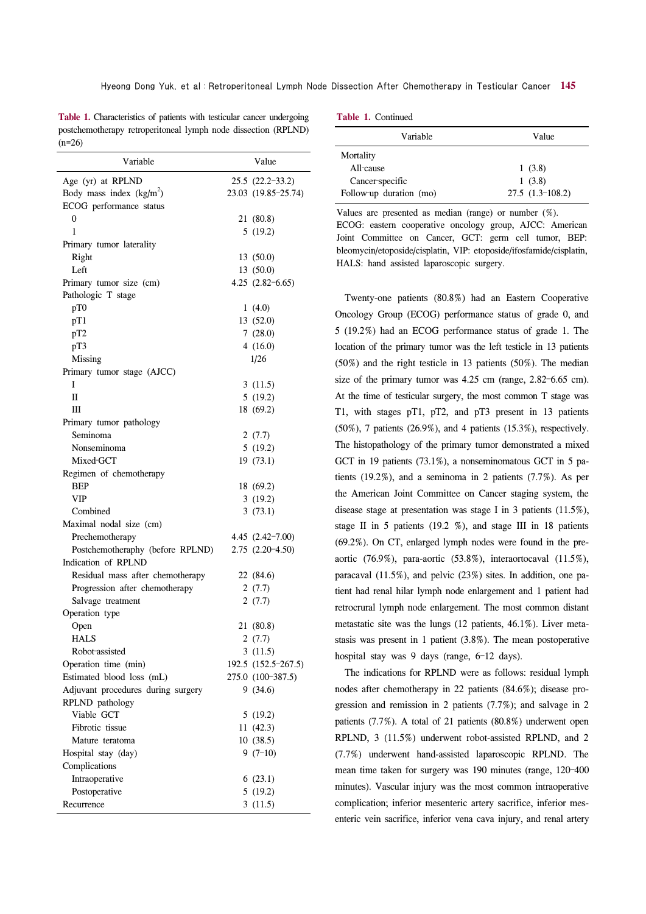**Table 1.** Characteristics of patients with testicular cancer undergoing postchemotherapy retroperitoneal lymph node dissection (RPLND)  $(n=26)$ 

| Variable                           | Value                          |
|------------------------------------|--------------------------------|
| Age (yr) at RPLND                  | 25.5 (22.2-33.2)               |
| Body mass index $(kg/m2)$          | 23.03 (19.85-25.74)            |
| ECOG performance status            |                                |
| 0                                  | 21 (80.8)                      |
| 1                                  | 5(19.2)                        |
| Primary tumor laterality           |                                |
| Right                              | 13 (50.0)                      |
| Left                               | 13 (50.0)                      |
| Primary tumor size (cm)            | $4.25$ $(2.82-6.65)$           |
| Pathologic T stage                 |                                |
| pT0                                | 1(4.0)                         |
| pT1                                | 13 (52.0)                      |
| pT2                                | 7(28.0)                        |
| pT3                                | 4(16.0)                        |
| Missing                            | 1/26                           |
| Primary tumor stage (AJCC)         |                                |
| I                                  | 3(11.5)                        |
| П                                  | 5(19.2)                        |
| Ш                                  | 18 (69.2)                      |
| Primary tumor pathology            |                                |
| Seminoma                           | 2(7.7)                         |
| Nonseminoma                        | 5(19.2)                        |
| Mixed-GCT                          | 19(73.1)                       |
| Regimen of chemotherapy            |                                |
| BEP                                | 18 (69.2)                      |
| VIP                                | 3(19.2)                        |
| Combined                           | 3(73.1)                        |
| Maximal nodal size (cm)            |                                |
| Prechemotherapy                    | $4.45(2.42-7.00)$              |
| Postchemotheraphy (before RPLND)   | $2.75(2.20-4.50)$              |
| Indication of RPLND                |                                |
| Residual mass after chemotherapy   | 22 (84.6)                      |
| Progression after chemotherapy     | 2(7.7)                         |
| Salvage treatment                  | 2(7.7)                         |
| Operation type                     |                                |
|                                    |                                |
| Open<br><b>HALS</b>                | 21 (80.8)                      |
| Robot-assisted                     | 2 (7.7)                        |
| Operation time (min)               | 3(11.5)<br>192.5 (152.5-267.5) |
|                                    |                                |
| Estimated blood loss (mL)          | 275.0 (100-387.5)<br>9(34.6)   |
| Adjuvant procedures during surgery |                                |
| RPLND pathology<br>Viable GCT      |                                |
|                                    | 5(19.2)                        |
| Fibrotic tissue                    | 11(42.3)                       |
| Mature teratoma                    | 10(38.5)                       |
| Hospital stay (day)                | $9(7-10)$                      |
| Complications                      |                                |
| Intraoperative                     | 6(23.1)                        |
| Postoperative                      | 5(19.2)                        |
| Recurrence                         | 3(11.5)                        |

|  |  |  | Table 1. Continued |
|--|--|--|--------------------|
|--|--|--|--------------------|

| Variable                | Value             |
|-------------------------|-------------------|
| Mortality               |                   |
| All-cause               | 1(3.8)            |
| Cancer-specific         | 1(3.8)            |
| Follow-up duration (mo) | $27.5(1.3-108.2)$ |

Values are presented as median (range) or number (%). ECOG: eastern cooperative oncology group, AJCC: American Joint Committee on Cancer, GCT: germ cell tumor, BEP: bleomycin/etoposide/cisplatin, VIP: etoposide/ifosfamide/cisplatin, HALS: hand assisted laparoscopic surgery.

Twenty-one patients (80.8%) had an Eastern Cooperative Oncology Group (ECOG) performance status of grade 0, and 5 (19.2%) had an ECOG performance status of grade 1. The location of the primary tumor was the left testicle in 13 patients (50%) and the right testicle in 13 patients (50%). The median size of the primary tumor was 4.25 cm (range, 2.82–6.65 cm). At the time of testicular surgery, the most common T stage was T1, with stages pT1, pT2, and pT3 present in 13 patients (50%), 7 patients (26.9%), and 4 patients (15.3%), respectively. The histopathology of the primary tumor demonstrated a mixed GCT in 19 patients (73.1%), a nonseminomatous GCT in 5 patients (19.2%), and a seminoma in 2 patients (7.7%). As per the American Joint Committee on Cancer staging system, the disease stage at presentation was stage I in 3 patients (11.5%), stage II in 5 patients (19.2 %), and stage III in 18 patients (69.2%). On CT, enlarged lymph nodes were found in the preaortic (76.9%), para-aortic (53.8%), interaortocaval (11.5%), paracaval (11.5%), and pelvic (23%) sites. In addition, one patient had renal hilar lymph node enlargement and 1 patient had retrocrural lymph node enlargement. The most common distant metastatic site was the lungs (12 patients, 46.1%). Liver metastasis was present in 1 patient (3.8%). The mean postoperative hospital stay was 9 days (range, 6-12 days).

The indications for RPLND were as follows: residual lymph nodes after chemotherapy in 22 patients (84.6%); disease progression and remission in 2 patients (7.7%); and salvage in 2 patients (7.7%). A total of 21 patients (80.8%) underwent open RPLND, 3 (11.5%) underwent robot-assisted RPLND, and 2 (7.7%) underwent hand-assisted laparoscopic RPLND. The mean time taken for surgery was 190 minutes (range, 120–400 minutes). Vascular injury was the most common intraoperative complication; inferior mesenteric artery sacrifice, inferior mesenteric vein sacrifice, inferior vena cava injury, and renal artery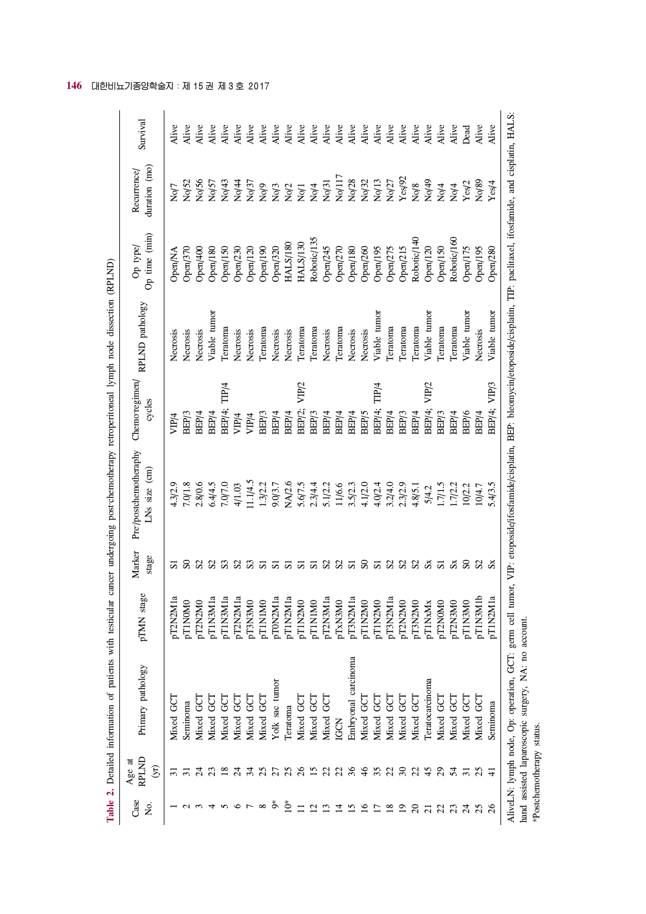|                 |                                   | Table 2. Detailed information of patients with testicular                                                                                                                                                                                 |            |                 | cancer undergoing post-chemotherapy retroperitoneal lymph node dissection (RPLND) |                             |                 |                           |                              |          |
|-----------------|-----------------------------------|-------------------------------------------------------------------------------------------------------------------------------------------------------------------------------------------------------------------------------------------|------------|-----------------|-----------------------------------------------------------------------------------|-----------------------------|-----------------|---------------------------|------------------------------|----------|
| Case<br>Σò.     | RPLND<br>Age at<br>$\mathfrak{B}$ | Primary pathology                                                                                                                                                                                                                         | pTMN stage | Marker<br>stage | Pre-/postchemotheraphy<br>$LNs$ size $(cm)$                                       | Chemo-regimen/<br>cycles    | RPLND pathology | Op time (min)<br>Op type/ | duration (mo)<br>Recurrence/ | Survival |
|                 | $\sim$                            | Mixed GCT                                                                                                                                                                                                                                 | pT2N2M1a   | 5               | 4.3/2.9                                                                           | VIP/4                       | Necrosis        | Open/NA                   | No/7                         | Alive    |
|                 |                                   | Seminoma                                                                                                                                                                                                                                  | pT1N0M0    |                 | 7.0/1.8                                                                           | BEP/3                       | Necrosis        | Open/370                  | No/52                        | Alive    |
|                 |                                   | Mixed GC                                                                                                                                                                                                                                  | pT2N2M0    |                 | 2.8/0.6                                                                           | BEP/4                       | Necrosis        | Open/400                  | No/56                        | Alive    |
|                 |                                   | Mixed GC7                                                                                                                                                                                                                                 | pT1N3M1a   | S <sub>2</sub>  | 6.4/4.5                                                                           | BEP/4                       | Viable tumor    | Open/180                  | No/57                        | Alive    |
|                 |                                   | Mixed GC                                                                                                                                                                                                                                  | pT1N3M1a   | S <sub>3</sub>  | 7.0/7.0                                                                           | TIP/4<br>BEP/4;             | Teratoma        | Open/150                  | No/43                        | Alive    |
|                 |                                   | Mixed GCT                                                                                                                                                                                                                                 | pT2N2M1a   | S <sub>2</sub>  | 4/1.03                                                                            | VIP/4                       | Necrosis        | Open/230                  | No/44                        | Alive    |
|                 |                                   | Mixed GCT                                                                                                                                                                                                                                 | pT3N3M0    | S <sub>3</sub>  | 11.1/4.5                                                                          | VIP/4                       | Necrosis        | Open/120                  | No/37                        | Alive    |
| ${}^{\circ}$    |                                   | Mixed GCT                                                                                                                                                                                                                                 | pT1N1M0    | 5               | 1.3/2.2                                                                           | BEP <sub>/3</sub>           | Teratoma        | Open/190                  | Nq                           | Alive    |
| ő               |                                   | Yolk sac tumor                                                                                                                                                                                                                            | pT0N2M1a   | ದ               | 9.0/3.7                                                                           | BEP/4                       | Necrosis        | Open/320                  |                              | Alive    |
| _*              |                                   | Teratoma                                                                                                                                                                                                                                  | pT1N2M1a   | ದ               | NA/2.6                                                                            | BEP/4                       | Necrosis        | <b>HALS/180</b>           | No/3<br>No/2                 | Alive    |
|                 | $\delta$                          | Mixed GCT                                                                                                                                                                                                                                 | pT1N2M0    | ವ               | 5.6/7.5                                                                           | VIP/2<br>BEP/2;             | Teratoma        | <b>HALS/130</b>           | $\rm No/1$                   | Alive    |
|                 |                                   | Mixed GC                                                                                                                                                                                                                                  | pT1N1M0    | 51              | 2.3/4.4                                                                           | BEP/3                       | Teratoma        | Robotic/135               | Nq/4                         | Alive    |
|                 |                                   | Mixed GCT                                                                                                                                                                                                                                 | pT2N3M1a   | S <sub>2</sub>  | 5.1/2.2                                                                           | BEP/4                       | Necrosis        | Open/245                  | Nq31                         | Alive    |
|                 |                                   | IGCN                                                                                                                                                                                                                                      | pTxN3M0    | S <sub>2</sub>  | 11/6.6                                                                            | BEP/4                       | Teratoma        | Open/270                  | No/117                       | Alive    |
|                 |                                   | Embryonal carcinoma                                                                                                                                                                                                                       | pT3N2M1a   | 51              | 3.5/2.3                                                                           | BEP/4                       | Necrosis        | Open/180                  | No/28                        | Alive    |
|                 | $\frac{4}{6}$                     | Mixed GCT                                                                                                                                                                                                                                 | pT1N2M0    | $\mathbf{S}$    | 4.1/2.0                                                                           | BEP/5                       | Necrosis        | Open/260                  | Nq32                         | Alive    |
|                 | 35                                | Mixed GC7                                                                                                                                                                                                                                 | pT1N2M0    | 5               | 4.0/2.4                                                                           | TIP/4<br>BEP/4;             | Viable tumor    | Open/195                  | Nq/13                        | Alive    |
|                 | 22                                | Mixed GC                                                                                                                                                                                                                                  | pT3N2M1a   | S <sub>2</sub>  | 3.2/4.0                                                                           | BEP/4                       | Teratoma        | Open/275                  | No/27                        | Alive    |
| $\Xi$           | $\mathcal{S}$                     | Mixed GC7                                                                                                                                                                                                                                 | pT2N2M0    | \$35x           | 2.3/2.9                                                                           | BEP/3                       | Teratoma        | Open/215                  | Yes/92                       | Alive    |
| $\Omega$        | $\mathfrak{L}$                    | Mixed GCT                                                                                                                                                                                                                                 | pT3N2M0    |                 | 4.8/5.1                                                                           | BEP/4                       | Teratoma        | Robotic/140               | No/8                         | Alive    |
| $\overline{c}$  | 45                                | Teratocarcinoma                                                                                                                                                                                                                           | pT1NxMx    |                 | 5/4.2                                                                             | VIP <sub>/2</sub><br>BEP/4; | Viable tumor    | Open/120                  | Nq/49                        | Alive    |
| $\mathfrak{Z}$  | $\overline{c}$                    | Mixed GCT                                                                                                                                                                                                                                 | pT2N0M0    | 51              | 1.7/1.5                                                                           | BEP/3                       | Teratoma        | Open/150                  | No/4                         | Alive    |
| 23              | 54                                | Mixed GCT                                                                                                                                                                                                                                 | pT2N3M0    | $S_{X}$         | 1.7/2.2                                                                           | BEP/4                       | Teratoma        | Robotic/160               | $N$ o/4                      | Alive    |
| $\frac{24}{25}$ | $\overline{31}$                   | Mixed GCT                                                                                                                                                                                                                                 | pT1N3M0    | ${\bf S0}$      | 10/2.2                                                                            | BEP/6                       | Viable tumor    | Open/175                  | Yes/2                        | Dead     |
|                 | 25                                | Mixed GCT                                                                                                                                                                                                                                 | pT1N3M1b   | S <sub>2</sub>  | 10/4.7                                                                            | BEP/4                       | Necrosis        | Open/195                  | No/89                        | Alive    |
| 26              | コ                                 | Seminoma                                                                                                                                                                                                                                  | pT1N2M1a   | $S_{X}$         | 5.4/3.5                                                                           | VIP/3<br>BEP/4;             | Viable tumor    | Open/280                  | Yes/4                        | Alive    |
|                 |                                   | AliveLN: lymph node, Op: operation, GCT: germ cell tumor, VIP: etoposide/ifosfamide/cisplatin, BEP: bleomycin/etoposide/cisplatin, TIP: paclitaxel, ifosfamide, and cisplatin, HALS:<br>hand assisted laparoscopic surgery NA: no account |            |                 |                                                                                   |                             |                 |                           |                              |          |

**146** 대한비뇨기종양학술지 :제 15 권 제 3 호 2017

hand assisted laparoscopic surgery, NA: no account.<br>\*Postchemotherapy status. hand assisted laparoscopic surgery, NA: no account. \*Postchemotherapy status.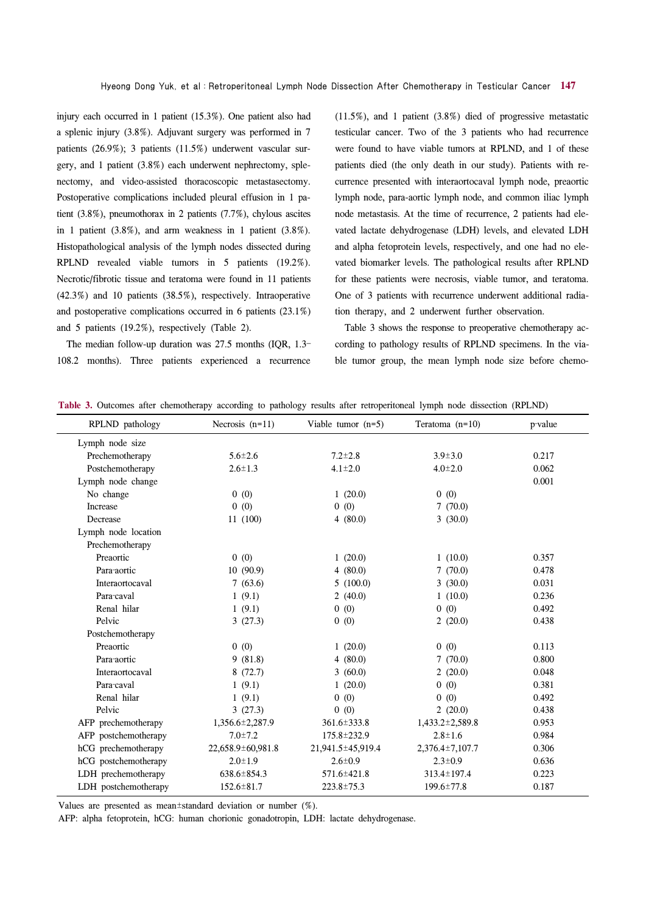injury each occurred in 1 patient (15.3%). One patient also had a splenic injury (3.8%). Adjuvant surgery was performed in 7 patients (26.9%); 3 patients (11.5%) underwent vascular surgery, and 1 patient (3.8%) each underwent nephrectomy, splenectomy, and video-assisted thoracoscopic metastasectomy. Postoperative complications included pleural effusion in 1 patient (3.8%), pneumothorax in 2 patients (7.7%), chylous ascites in 1 patient (3.8%), and arm weakness in 1 patient (3.8%). Histopathological analysis of the lymph nodes dissected during RPLND revealed viable tumors in 5 patients (19.2%). Necrotic/fibrotic tissue and teratoma were found in 11 patients (42.3%) and 10 patients (38.5%), respectively. Intraoperative and postoperative complications occurred in 6 patients (23.1%) and 5 patients (19.2%), respectively (Table 2).

The median follow-up duration was 27.5 months (IQR, 1.3– 108.2 months). Three patients experienced a recurrence (11.5%), and 1 patient (3.8%) died of progressive metastatic testicular cancer. Two of the 3 patients who had recurrence were found to have viable tumors at RPLND, and 1 of these patients died (the only death in our study). Patients with recurrence presented with interaortocaval lymph node, preaortic lymph node, para-aortic lymph node, and common iliac lymph node metastasis. At the time of recurrence, 2 patients had elevated lactate dehydrogenase (LDH) levels, and elevated LDH and alpha fetoprotein levels, respectively, and one had no elevated biomarker levels. The pathological results after RPLND for these patients were necrosis, viable tumor, and teratoma. One of 3 patients with recurrence underwent additional radiation therapy, and 2 underwent further observation.

Table 3 shows the response to preoperative chemotherapy according to pathology results of RPLND specimens. In the viable tumor group, the mean lymph node size before chemo-

|  |  |  |  |  |  |  |  |  | <b>Table 3.</b> Outcomes after chemotherapy according to pathology results after retroperitoneal lymph node dissection (RPLND) |  |  |  |  |  |
|--|--|--|--|--|--|--|--|--|--------------------------------------------------------------------------------------------------------------------------------|--|--|--|--|--|
|--|--|--|--|--|--|--|--|--|--------------------------------------------------------------------------------------------------------------------------------|--|--|--|--|--|

| RPLND pathology      | Necrosis $(n=11)$ | Viable tumor $(n=5)$ | Teratoma $(n=10)$ | p-value |
|----------------------|-------------------|----------------------|-------------------|---------|
| Lymph node size      |                   |                      |                   |         |
| Prechemotherapy      | $5.6 \pm 2.6$     | $7.2 \pm 2.8$        | $3.9 \pm 3.0$     | 0.217   |
| Postchemotherapy     | $2.6 \pm 1.3$     | $4.1 \pm 2.0$        | $4.0 \pm 2.0$     | 0.062   |
| Lymph node change    |                   |                      |                   | 0.001   |
| No change            | 0(0)              | 1(20.0)              | 0(0)              |         |
| Increase             | 0(0)              | 0(0)                 | 7(70.0)           |         |
| Decrease             | 11 (100)          | 4(80.0)              | 3(30.0)           |         |
| Lymph node location  |                   |                      |                   |         |
| Prechemotherapy      |                   |                      |                   |         |
| Preaortic            | 0(0)              | 1(20.0)              | 1(10.0)           | 0.357   |
| Para-aortic          | 10(90.9)          | 4(80.0)              | 7(70.0)           | 0.478   |
| Interaortocaval      | 7(63.6)           | 5(100.0)             | 3(30.0)           | 0.031   |
| Para-caval           | 1(9.1)            | 2(40.0)              | 1(10.0)           | 0.236   |
| Renal hilar          | 1(9.1)            | 0(0)                 | 0(0)              | 0.492   |
| Pelvic               | 3(27.3)           | 0(0)                 | 2(20.0)           | 0.438   |
| Postchemotherapy     |                   |                      |                   |         |
| Preaortic            | 0(0)              | 1(20.0)              | 0(0)              | 0.113   |
| Para-aortic          | 9(81.8)           | 4(80.0)              | 7(70.0)           | 0.800   |
| Interaortocaval      | 8(72.7)           | 3(60.0)              | 2(20.0)           | 0.048   |
| Para-caval           | 1(9.1)            | 1(20.0)              | 0(0)              | 0.381   |
| Renal hilar          | 1(9.1)            | 0(0)                 | 0(0)              | 0.492   |
| Pelvic               | 3(27.3)           | 0(0)                 | 2(20.0)           | 0.438   |
| AFP prechemotherapy  | 1,356.6±2,287.9   | $361.6 \pm 333.8$    | 1,433.2±2,589.8   | 0.953   |
| AFP postchemotherapy | $7.0 \pm 7.2$     | 175.8±232.9          | $2.8 \pm 1.6$     | 0.984   |
| hCG prechemotherapy  | 22,658.9±60,981.8 | 21,941.5±45,919.4    | 2,376.4±7,107.7   | 0.306   |
| hCG postchemotherapy | $2.0 \pm 1.9$     | $2.6 \pm 0.9$        | $2.3 \pm 0.9$     | 0.636   |
| LDH prechemotherapy  | $638.6 \pm 854.3$ | 571.6±421.8          | 313.4±197.4       | 0.223   |
| LDH postchemotherapy | $152.6 \pm 81.7$  | $223.8 \pm 75.3$     | $199.6 \pm 77.8$  | 0.187   |

Values are presented as mean±standard deviation or number (%).

AFP: alpha fetoprotein, hCG: human chorionic gonadotropin, LDH: lactate dehydrogenase.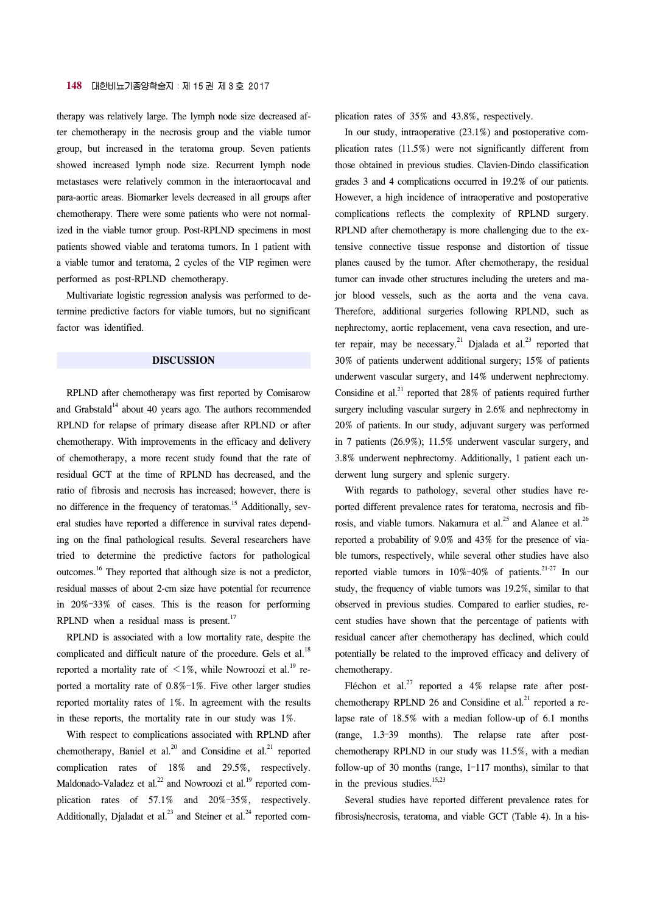therapy was relatively large. The lymph node size decreased after chemotherapy in the necrosis group and the viable tumor group, but increased in the teratoma group. Seven patients showed increased lymph node size. Recurrent lymph node metastases were relatively common in the interaortocaval and para-aortic areas. Biomarker levels decreased in all groups after chemotherapy. There were some patients who were not normalized in the viable tumor group. Post-RPLND specimens in most patients showed viable and teratoma tumors. In 1 patient with a viable tumor and teratoma, 2 cycles of the VIP regimen were performed as post-RPLND chemotherapy.

Multivariate logistic regression analysis was performed to determine predictive factors for viable tumors, but no significant factor was identified.

#### **DISCUSSION**

RPLND after chemotherapy was first reported by Comisarow and Grabstald<sup>14</sup> about 40 years ago. The authors recommended RPLND for relapse of primary disease after RPLND or after chemotherapy. With improvements in the efficacy and delivery of chemotherapy, a more recent study found that the rate of residual GCT at the time of RPLND has decreased, and the ratio of fibrosis and necrosis has increased; however, there is no difference in the frequency of teratomas.<sup>15</sup> Additionally, several studies have reported a difference in survival rates depending on the final pathological results. Several researchers have tried to determine the predictive factors for pathological outcomes.16 They reported that although size is not a predictor, residual masses of about 2-cm size have potential for recurrence in 20%–33% of cases. This is the reason for performing RPLND when a residual mass is present. $17$ 

RPLND is associated with a low mortality rate, despite the complicated and difficult nature of the procedure. Gels et al.<sup>18</sup> reported a mortality rate of  $\leq 1\%$ , while Nowroozi et al.<sup>19</sup> reported a mortality rate of 0.8%–1%. Five other larger studies reported mortality rates of 1%. In agreement with the results in these reports, the mortality rate in our study was 1%.

With respect to complications associated with RPLND after chemotherapy, Baniel et al.<sup>20</sup> and Considine et al.<sup>21</sup> reported complication rates of 18% and 29.5%, respectively. Maldonado-Valadez et al.<sup>22</sup> and Nowroozi et al.<sup>19</sup> reported complication rates of 57.1% and 20%–35%, respectively. Additionally, Djaladat et al.<sup>23</sup> and Steiner et al.<sup>24</sup> reported complication rates of 35% and 43.8%, respectively.

In our study, intraoperative (23.1%) and postoperative complication rates (11.5%) were not significantly different from those obtained in previous studies. Clavien-Dindo classification grades 3 and 4 complications occurred in 19.2% of our patients. However, a high incidence of intraoperative and postoperative complications reflects the complexity of RPLND surgery. RPLND after chemotherapy is more challenging due to the extensive connective tissue response and distortion of tissue planes caused by the tumor. After chemotherapy, the residual tumor can invade other structures including the ureters and major blood vessels, such as the aorta and the vena cava. Therefore, additional surgeries following RPLND, such as nephrectomy, aortic replacement, vena cava resection, and ureter repair, may be necessary.<sup>21</sup> Djalada et al.<sup>23</sup> reported that 30% of patients underwent additional surgery; 15% of patients underwent vascular surgery, and 14% underwent nephrectomy. Considine et al.<sup>21</sup> reported that  $28\%$  of patients required further surgery including vascular surgery in 2.6% and nephrectomy in 20% of patients. In our study, adjuvant surgery was performed in 7 patients (26.9%); 11.5% underwent vascular surgery, and 3.8% underwent nephrectomy. Additionally, 1 patient each underwent lung surgery and splenic surgery.

With regards to pathology, several other studies have reported different prevalence rates for teratoma, necrosis and fibrosis, and viable tumors. Nakamura et al.<sup>25</sup> and Alanee et al.<sup>26</sup> reported a probability of 9.0% and 43% for the presence of viable tumors, respectively, while several other studies have also reported viable tumors in  $10\% - 40\%$  of patients.<sup>21-27</sup> In our study, the frequency of viable tumors was 19.2%, similar to that observed in previous studies. Compared to earlier studies, recent studies have shown that the percentage of patients with residual cancer after chemotherapy has declined, which could potentially be related to the improved efficacy and delivery of chemotherapy.

Fléchon et al.<sup>27</sup> reported a 4% relapse rate after postchemotherapy RPLND 26 and Considine et al.<sup>21</sup> reported a relapse rate of 18.5% with a median follow-up of 6.1 months (range, 1.3–39 months). The relapse rate after postchemotherapy RPLND in our study was 11.5%, with a median follow-up of 30 months (range, 1–117 months), similar to that in the previous studies. $15,23$ 

Several studies have reported different prevalence rates for fibrosis/necrosis, teratoma, and viable GCT (Table 4). In a his-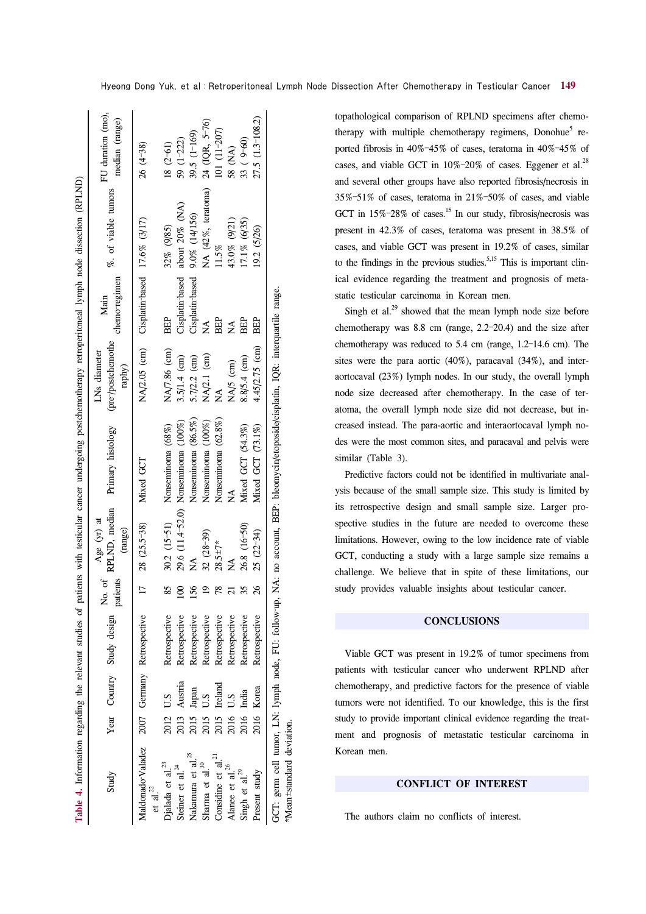| Study                                                |      |            | Year Country Study design $\begin{bmatrix} No. of \\ position \end{bmatrix}$ |                | RPLND, median<br>Age (yr) at<br>(range) | Primary histology                                                             | (pre-/postchemothe<br>LNs diameter<br>raphy) | chemo-regimen<br>Main                     | %. of viable tumors | FU duration (mo),<br>median (range) |
|------------------------------------------------------|------|------------|------------------------------------------------------------------------------|----------------|-----------------------------------------|-------------------------------------------------------------------------------|----------------------------------------------|-------------------------------------------|---------------------|-------------------------------------|
| Maldonado-Valadez<br>et al. $^{2}$                   |      |            | 2007 Germany Retrospective                                                   | $\Box$         | 28 (25.5-38)                            | Mixed GCT                                                                     |                                              | NA/2.05 (cm) Cisplatin-based 17.6% (3/17) |                     | $26(4-38)$                          |
| Djalada et al. <sup>23</sup>                         | 2012 | U.S        | Retrospective                                                                | 85             |                                         | 30.2 (15-51) Nonseminoma (68%)                                                | NA/7.86 (cm)                                 | BEP                                       | 32% (9/85)          | $18(2-61)$                          |
| Steiner et al. $^{24}$                               | 2013 | Austria    | Retrospective                                                                | 8              |                                         | 29.6 (11.4-52.0) Nonseminoma (100%)                                           | 3.5/1.4 (cm)                                 | Cisplatin-based                           | about 20% (NA)      | $59(1-222)$                         |
| Nakamura et al. <sup>25</sup>                        | 2015 | Japan      | Retrospective                                                                | 56             | ≸                                       | Nonseminoma (86.5%)                                                           | 5.7/2.2 (cm)                                 | Cisplatin-based                           | 9.0% (14/156)       | 39.5 $(1-169)$                      |
| Sharma et al. <sup>30</sup>                          | 2015 | S.D        | Retrospective                                                                | $\overline{9}$ | $32(28-39)$                             | Nonseminoma (100%)                                                            | NA/2.1 (cm)                                  | $\mathbb{A}^{\mathsf{A}}$                 | NA (42%, teratoma)  | 24 (IQR, 5-76)                      |
| Considine et al. $^{21}$                             | 2015 | Ireland    | Retrospective                                                                | 78             | $28.5 \pm 7*$                           | Nonseminoma (62.8%)                                                           | ∕<br>Z                                       | BEP                                       | 11.5%               | $101(11-207)$                       |
| Alanee et al. <sup>26</sup>                          | 2016 | Sï         | Retrospective                                                                |                | ≸                                       | ≸                                                                             | NA/5 (cm)                                    | Ź                                         | 43.0% (9/21)        | 58 (NA)                             |
| Singh et al. <sup>29</sup>                           | 2016 | India      | Retrospective                                                                | 35             | 26.8 (16-50)                            | Mixed GCT (54.3%)                                                             | 8.8/5.4 (cm)                                 | BEP                                       | 17.1% (6/35)        | 33 (9-60)                           |
| Present study                                        |      | 2016 Korea | Retrospective                                                                | $\frac{8}{2}$  | $25(22-34)$                             | Mixed GCT (73.1%)                                                             | 4.45/2.75 (cm)                               | <b>BEP</b>                                | 19.2 (5/26)         | 27.5 (1.3-108.2)                    |
| GCT: germ cell tumor, LN: lymph node, FU: follow-up, |      |            |                                                                              |                |                                         | NA: no account, BEP: bleomycin/etoposide/cisplatin, IQR: interquartile range. |                                              |                                           |                     |                                     |
| *Mean±standard deviation.                            |      |            |                                                                              |                |                                         |                                                                               |                                              |                                           |                     |                                     |

topathological comparison of RPLND specimens after chemotherapy with multiple chemotherapy regimens, Donohue<sup>5</sup> reported fibrosis in 40%–45% of cases, teratoma in 40%–45% of cases, and viable GCT in  $10\%$ -20% of cases. Eggener et al.<sup>28</sup> and several other groups have also reported fibrosis/necrosis in 35%–51% of cases, teratoma in 21%–50% of cases, and viable GCT in  $15\%$ -28% of cases.<sup>15</sup> In our study, fibrosis/necrosis was present in 42.3% of cases, teratoma was present in 38.5% of cases, and viable GCT was present in 19.2% of cases, similar to the findings in the previous studies.<sup>5,15</sup> This is important clinical evidence regarding the treatment and prognosis of metastatic testicular carcinoma in Korean men.

Singh et al. $^{29}$  showed that the mean lymph node size before chemotherapy was 8.8 cm (range, 2.2–20.4) and the size after chemotherapy was reduced to 5.4 cm (range, 1.2–14.6 cm). The sites were the para aortic (40%), paracaval (34%), and interaortocaval (23%) lymph nodes. In our study, the overall lymph node size decreased after chemotherapy. In the case of teratoma, the overall lymph node size did not decrease, but increased instead. The para-aortic and interaortocaval lymph nodes were the most common sites, and paracaval and pelvis were similar (Table 3).

Predictive factors could not be identified in multivariate analysis because of the small sample size. This study is limited by its retrospective design and small sample size. Larger prospective studies in the future are needed to overcome these limitations. However, owing to the low incidence rate of viable GCT, conducting a study with a large sample size remains a challenge. We believe that in spite of these limitations, our study provides valuable insights about testicular cancer.

#### **CONCLUSIONS**

Viable GCT was present in 19.2% of tumor specimens from patients with testicular cancer who underwent RPLND after chemotherapy, and predictive factors for the presence of viable tumors were not identified. To our knowledge, this is the first study to provide important clinical evidence regarding the treatment and prognosis of metastatic testicular carcinoma in Korean men.

### **CONFLICT OF INTEREST**

The authors claim no conflicts of interest.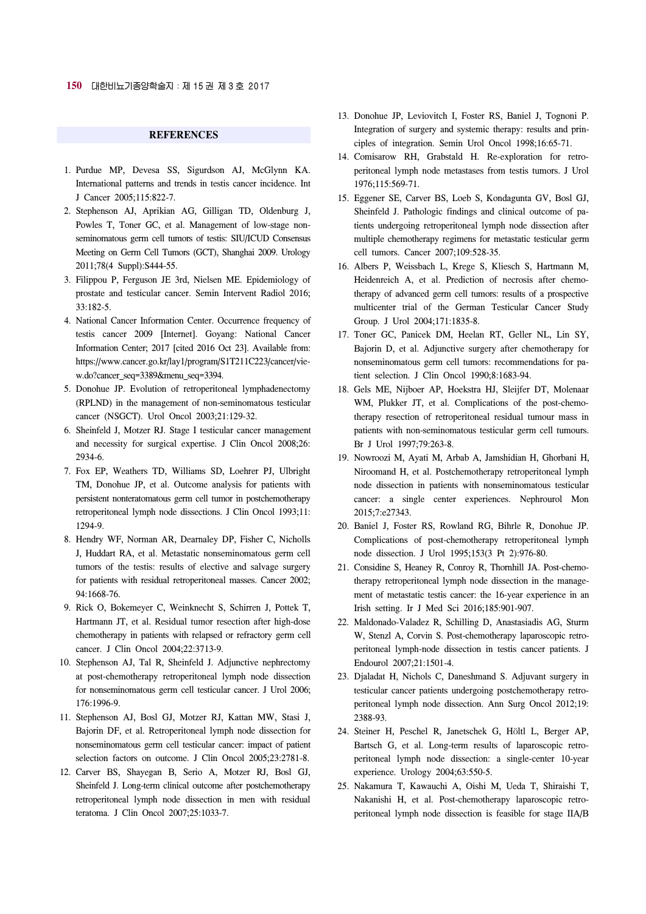#### **REFERENCES**

- 1. Purdue MP, Devesa SS, Sigurdson AJ, McGlynn KA. International patterns and trends in testis cancer incidence. Int J Cancer 2005;115:822-7.
- 2. Stephenson AJ, Aprikian AG, Gilligan TD, Oldenburg J, Powles T, Toner GC, et al. Management of low-stage nonseminomatous germ cell tumors of testis: SIU/ICUD Consensus Meeting on Germ Cell Tumors (GCT), Shanghai 2009. Urology 2011;78(4 Suppl):S444-55.
- 3. Filippou P, Ferguson JE 3rd, Nielsen ME. Epidemiology of prostate and testicular cancer. Semin Intervent Radiol 2016; 33:182-5.
- 4. National Cancer Information Center. Occurrence frequency of testis cancer 2009 [Internet]. Goyang: National Cancer Information Center; 2017 [cited 2016 Oct 23]. Available from: [https://www.cancer.go.kr/lay1/program/S1T211C223/cancer/vie](https://www.cancer.go.kr/lay1/program/S1T211C223/cancer/view.do?cancer_seq=3389&menu_seq=3394)w.do?cancer\_seq=3389&menu\_seq=3394.
- 5. Donohue JP. Evolution of retroperitoneal lymphadenectomy (RPLND) in the management of non-seminomatous testicular cancer (NSGCT). Urol Oncol 2003;21:129-32.
- 6. Sheinfeld J, Motzer RJ. Stage I testicular cancer management and necessity for surgical expertise. J Clin Oncol 2008;26: 2934-6.
- 7. Fox EP, Weathers TD, Williams SD, Loehrer PJ, Ulbright TM, Donohue JP, et al. Outcome analysis for patients with persistent nonteratomatous germ cell tumor in postchemotherapy retroperitoneal lymph node dissections. J Clin Oncol 1993;11: 1294-9.
- 8. Hendry WF, Norman AR, Dearnaley DP, Fisher C, Nicholls J, Huddart RA, et al. Metastatic nonseminomatous germ cell tumors of the testis: results of elective and salvage surgery for patients with residual retroperitoneal masses. Cancer 2002; 94:1668-76.
- 9. Rick O, Bokemeyer C, Weinknecht S, Schirren J, Pottek T, Hartmann JT, et al. Residual tumor resection after high-dose chemotherapy in patients with relapsed or refractory germ cell cancer. J Clin Oncol 2004;22:3713-9.
- 10. Stephenson AJ, Tal R, Sheinfeld J. Adjunctive nephrectomy at post-chemotherapy retroperitoneal lymph node dissection for nonseminomatous germ cell testicular cancer. J Urol 2006; 176:1996-9.
- 11. Stephenson AJ, Bosl GJ, Motzer RJ, Kattan MW, Stasi J, Bajorin DF, et al. Retroperitoneal lymph node dissection for nonseminomatous germ cell testicular cancer: impact of patient selection factors on outcome. J Clin Oncol 2005;23:2781-8.
- 12. Carver BS, Shayegan B, Serio A, Motzer RJ, Bosl GJ, Sheinfeld J. Long-term clinical outcome after postchemotherapy retroperitoneal lymph node dissection in men with residual teratoma. J Clin Oncol 2007;25:1033-7.
- 13. Donohue JP, Leviovitch I, Foster RS, Baniel J, Tognoni P. Integration of surgery and systemic therapy: results and principles of integration. Semin Urol Oncol 1998;16:65-71.
- 14. Comisarow RH, Grabstald H. Re-exploration for retroperitoneal lymph node metastases from testis tumors. J Urol 1976;115:569-71.
- 15. Eggener SE, Carver BS, Loeb S, Kondagunta GV, Bosl GJ, Sheinfeld J. Pathologic findings and clinical outcome of patients undergoing retroperitoneal lymph node dissection after multiple chemotherapy regimens for metastatic testicular germ cell tumors. Cancer 2007;109:528-35.
- 16. Albers P, Weissbach L, Krege S, Kliesch S, Hartmann M, Heidenreich A, et al. Prediction of necrosis after chemotherapy of advanced germ cell tumors: results of a prospective multicenter trial of the German Testicular Cancer Study Group. J Urol 2004;171:1835-8.
- 17. Toner GC, Panicek DM, Heelan RT, Geller NL, Lin SY, Bajorin D, et al. Adjunctive surgery after chemotherapy for nonseminomatous germ cell tumors: recommendations for patient selection. J Clin Oncol 1990;8:1683-94.
- 18. Gels ME, Nijboer AP, Hoekstra HJ, Sleijfer DT, Molenaar WM, Plukker JT, et al. Complications of the post-chemotherapy resection of retroperitoneal residual tumour mass in patients with non-seminomatous testicular germ cell tumours. Br J Urol 1997;79:263-8.
- 19. Nowroozi M, Ayati M, Arbab A, Jamshidian H, Ghorbani H, Niroomand H, et al. Postchemotherapy retroperitoneal lymph node dissection in patients with nonseminomatous testicular cancer: a single center experiences. Nephrourol Mon 2015;7:e27343.
- 20. Baniel J, Foster RS, Rowland RG, Bihrle R, Donohue JP. Complications of post-chemotherapy retroperitoneal lymph node dissection. J Urol 1995;153(3 Pt 2):976-80.
- 21. Considine S, Heaney R, Conroy R, Thornhill JA. Post-chemotherapy retroperitoneal lymph node dissection in the management of metastatic testis cancer: the 16-year experience in an Irish setting. Ir J Med Sci 2016;185:901-907.
- 22. Maldonado-Valadez R, Schilling D, Anastasiadis AG, Sturm W, Stenzl A, Corvin S. Post-chemotherapy laparoscopic retroperitoneal lymph-node dissection in testis cancer patients. J Endourol 2007;21:1501-4.
- 23. Djaladat H, Nichols C, Daneshmand S. Adjuvant surgery in testicular cancer patients undergoing postchemotherapy retroperitoneal lymph node dissection. Ann Surg Oncol 2012;19: 2388-93.
- 24. Steiner H, Peschel R, Janetschek G, Höltl L, Berger AP, Bartsch G, et al. Long-term results of laparoscopic retroperitoneal lymph node dissection: a single-center 10-year experience. Urology 2004;63:550-5.
- 25. Nakamura T, Kawauchi A, Oishi M, Ueda T, Shiraishi T, Nakanishi H, et al. Post-chemotherapy laparoscopic retroperitoneal lymph node dissection is feasible for stage IIA/B